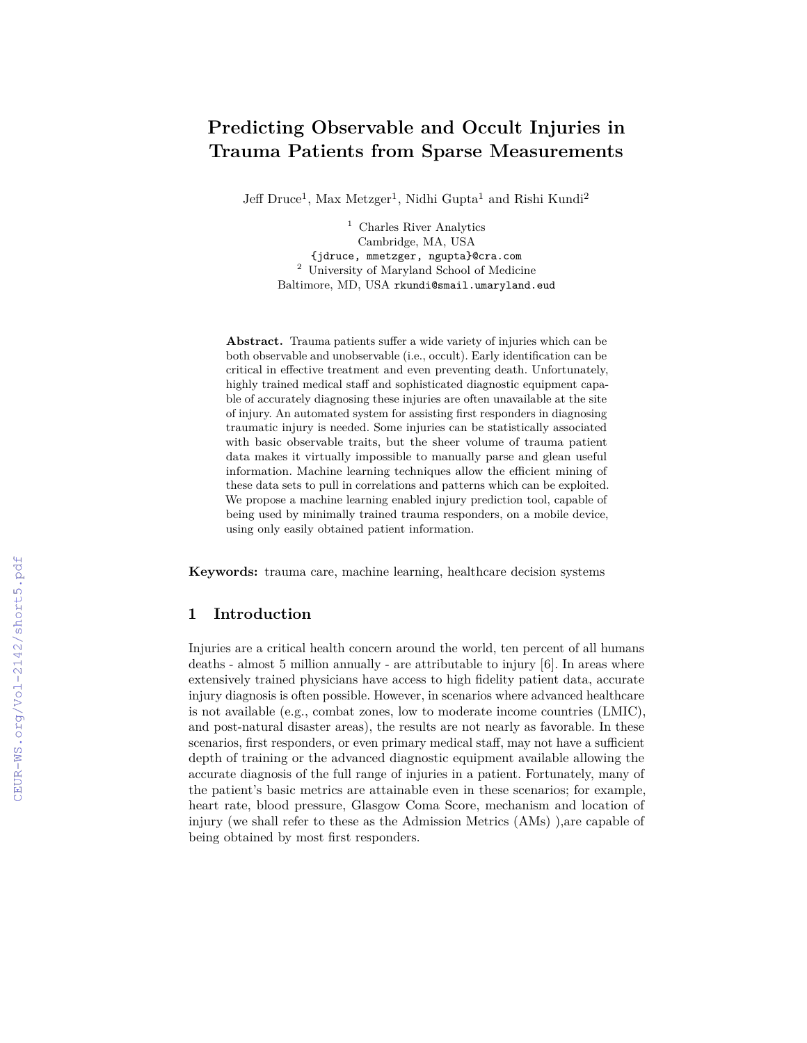# **Predicting Observable and Occult Injuries in Trauma Patients from Sparse Measurements**

Jeff Druce<sup>1</sup>, Max Metzger<sup>1</sup>, Nidhi Gupta<sup>1</sup> and Rishi Kundi<sup>2</sup>

<sup>1</sup> Charles River Analytics Cambridge, MA, USA {jdruce, mmetzger, ngupta}@cra.com <sup>2</sup> University of Maryland School of Medicine Baltimore, MD, USA rkundi@smail.umaryland.eud

**Abstract.** Trauma patients suffer a wide variety of injuries which can be both observable and unobservable (i.e., occult). Early identification can be critical in effective treatment and even preventing death. Unfortunately, highly trained medical staff and sophisticated diagnostic equipment capable of accurately diagnosing these injuries are often unavailable at the site of injury. An automated system for assisting first responders in diagnosing traumatic injury is needed. Some injuries can be statistically associated with basic observable traits, but the sheer volume of trauma patient data makes it virtually impossible to manually parse and glean useful information. Machine learning techniques allow the efficient mining of these data sets to pull in correlations and patterns which can be exploited. We propose a machine learning enabled injury prediction tool, capable of being used by minimally trained trauma responders, on a mobile device, using only easily obtained patient information.

**Keywords:** trauma care, machine learning, healthcare decision systems

#### **Introduction**

Injuries are a critical health concern around the world, ten percent of all humans deaths - almost  $5$  million annually - are attributable to injury  $[6]$ . In areas where extensively trained physicians have access to high fidelity patient data, accurate injury diagnosis is often possible. However, in scenarios where advanced healthcare is not available (e.g., combat zones, low to moderate income countries (LMIC), and post-natural disaster areas), the results are not nearly as favorable. In these scenarios, first responders, or even primary medical staff, may not have a sufficient depth of training or the advanced diagnostic equipment available allowing the accurate diagnosis of the full range of injuries in a patient. Fortunately, many of the patient's basic metrics are attainable even in these scenarios; for example, heart rate, blood pressure, Glasgow Coma Score, mechanism and location of injury (we shall refer to these as the Admission Metrics (AMs) ),are capable of being obtained by most first responders.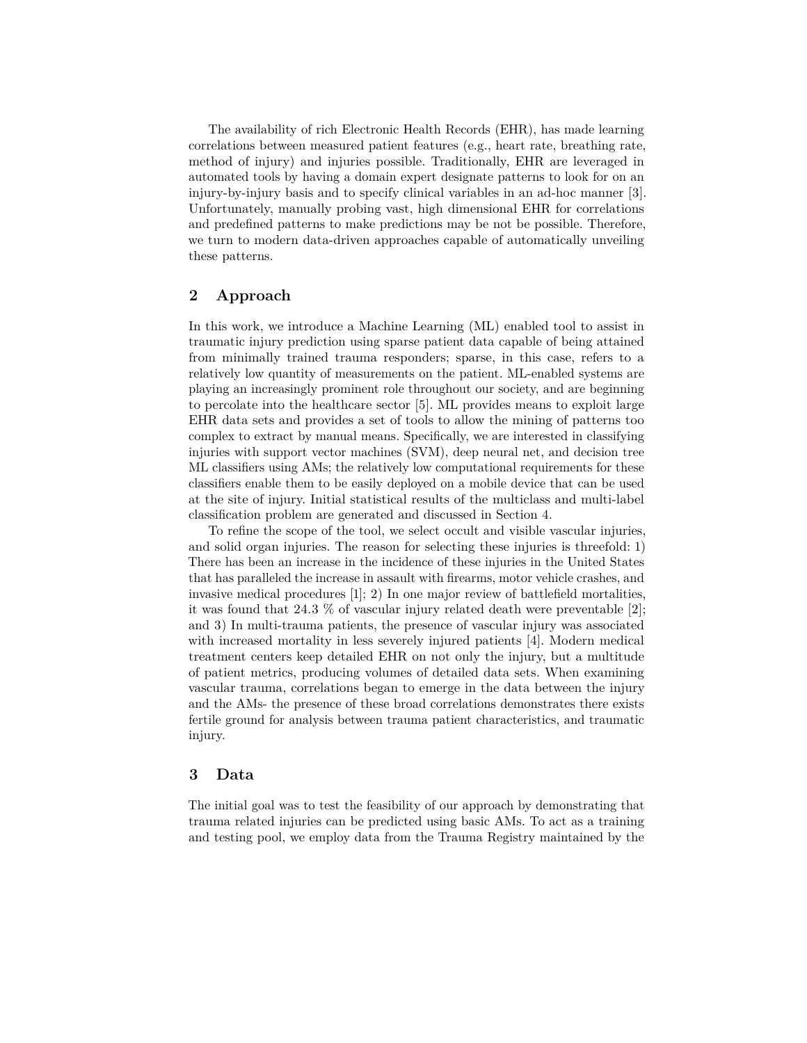The availability of rich Electronic Health Records (EHR), has made learning correlations between measured patient features (e.g., heart rate, breathing rate, method of injury) and injuries possible. Traditionally, EHR are leveraged in automated tools by having a domain expert designate patterns to look for on an injury-by-injury basis and to specify clinical variables in an ad-hoc manner []. Unfortunately, manually probing vast, high dimensional EHR for correlations and predefined patterns to make predictions may be not be possible. Therefore, we turn to modern data-driven approaches capable of automatically unveiling these patterns.

# **Approach**

In this work, we introduce a Machine Learning (ML) enabled tool to assist in traumatic injury prediction using sparse patient data capable of being attained from minimally trained trauma responders; sparse, in this case, refers to a relatively low quantity of measurements on the patient. ML-enabled systems are playing an increasingly prominent role throughout our society, and are beginning to percolate into the healthcare sector [5]. ML provides means to exploit large EHR data sets and provides a set of tools to allow the mining of patterns too complex to extract by manual means. Specifically, we are interested in classifying injuries with support vector machines (SVM), deep neural net, and decision tree ML classifiers using AMs; the relatively low computational requirements for these classifiers enable them to be easily deployed on a mobile device that can be used at the site of injury. Initial statistical results of the multiclass and multi-label classification problem are generated and discussed in Section 4.

To refine the scope of the tool, we select occult and visible vascular injuries, and solid organ injuries. The reason for selecting these injuries is threefold: 1) There has been an increase in the incidence of these injuries in the United States that has paralleled the increase in assault with firearms, motor vehicle crashes, and invasive medical procedures  $[1]$ ; 2) In one major review of battlefield mortalities, it was found that 24.3  $\%$  of vascular injury related death were preventable [2]; and 3) In multi-trauma patients, the presence of vascular injury was associated with increased mortality in less severely injured patients  $[4]$ . Modern medical treatment centers keep detailed EHR on not only the injury, but a multitude of patient metrics, producing volumes of detailed data sets. When examining vascular trauma, correlations began to emerge in the data between the injury and the AMs- the presence of these broad correlations demonstrates there exists fertile ground for analysis between trauma patient characteristics, and traumatic injury.

# **Data**

The initial goal was to test the feasibility of our approach by demonstrating that trauma related injuries can be predicted using basic AMs. To act as a training and testing pool, we employ data from the Trauma Registry maintained by the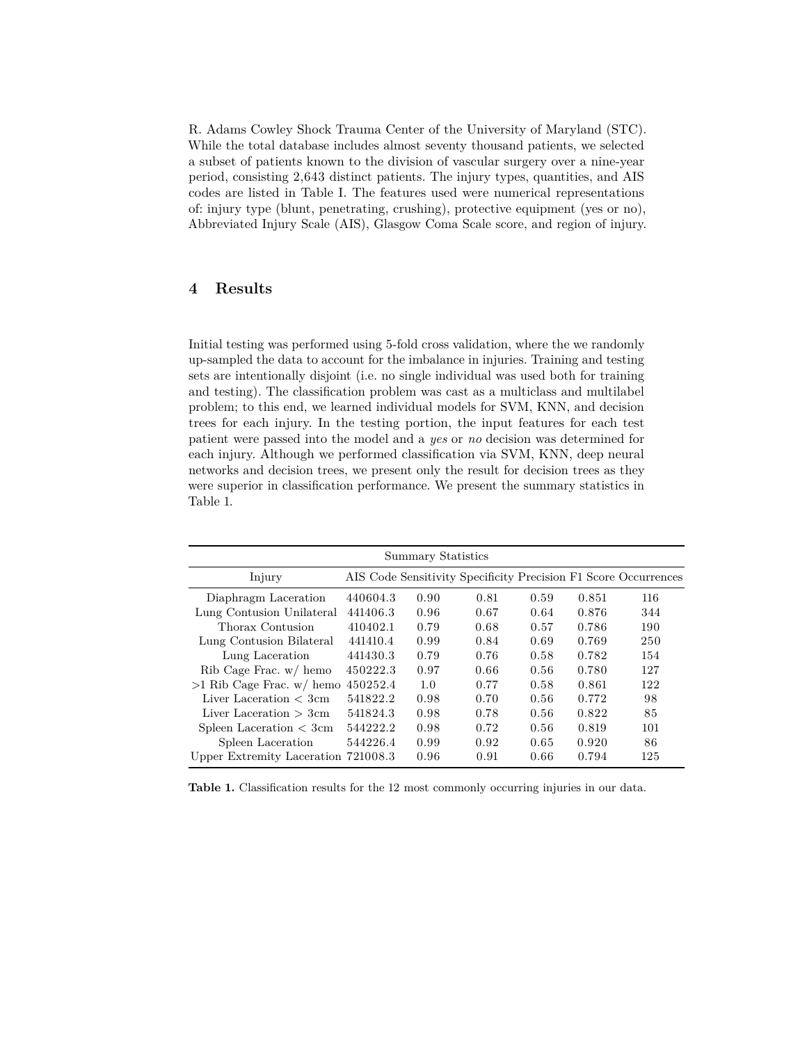R. Adams Cowley Shock Trauma Center of the University of Maryland (STC). While the total database includes almost seventy thousand patients, we selected a subset of patients known to the division of vascular surgery over a nine-year period, consisting 2,643 distinct patients. The injury types, quantities, and AIS codes are listed in Table I. The features used were numerical representations of: injury type (blunt, penetrating, crushing), protective equipment (yes or no), Abbreviated Injury Scale (AIS), Glasgow Coma Scale score, and region of injury.

# **Results**

Initial testing was performed using 5-fold cross validation, where the we randomly up-sampled the data to account for the imbalance in injuries. Training and testing sets are intentionally disjoint (i.e. no single individual was used both for training and testing). The classification problem was cast as a multiclass and multilabel problem; to this end, we learned individual models for SVM, KNN, and decision trees for each injury. In the testing portion, the input features for each test patient were passed into the model and a *yes* or *no* decision was determined for each injury. Although we performed classification via SVM, KNN, deep neural networks and decision trees, we present only the result for decision trees as they were superior in classification performance. We present the summary statistics in Table 1.

| Summary Statistics                                |          |      |      |      |       |                                                                 |
|---------------------------------------------------|----------|------|------|------|-------|-----------------------------------------------------------------|
| Injury                                            |          |      |      |      |       | AIS Code Sensitivity Specificity Precision F1 Score Occurrences |
| Diaphragm Laceration                              | 440604.3 | 0.90 | 0.81 | 0.59 | 0.851 | 116                                                             |
| Lung Contusion Unilateral                         | 441406.3 | 0.96 | 0.67 | 0.64 | 0.876 | 344                                                             |
| Thorax Contusion                                  | 410402.1 | 0.79 | 0.68 | 0.57 | 0.786 | 190                                                             |
| Lung Contusion Bilateral                          | 441410.4 | 0.99 | 0.84 | 0.69 | 0.769 | 250                                                             |
| Lung Laceration                                   | 441430.3 | 0.79 | 0.76 | 0.58 | 0.782 | 154                                                             |
| $Rib \text{Cage } \text{Frac. } w / \text{ hemo}$ | 450222.3 | 0.97 | 0.66 | 0.56 | 0.780 | 127                                                             |
| $>1$ Rib Cage Frac. w/ hemo                       | 450252.4 | 1.0  | 0.77 | 0.58 | 0.861 | 122                                                             |
| Liver Laceration $\lt$ 3cm                        | 541822.2 | 0.98 | 0.70 | 0.56 | 0.772 | 98                                                              |
| Liver Laceration $>$ 3cm                          | 541824.3 | 0.98 | 0.78 | 0.56 | 0.822 | 85                                                              |
| Spleen Laceration $<$ 3cm                         | 544222.2 | 0.98 | 0.72 | 0.56 | 0.819 | 101                                                             |
| Spleen Laceration                                 | 544226.4 | 0.99 | 0.92 | 0.65 | 0.920 | 86                                                              |
| Upper Extremity Laceration 721008.3               |          | 0.96 | 0.91 | 0.66 | 0.794 | 125                                                             |

**Table 1.** Classification results for the 12 most commonly occurring injuries in our data.